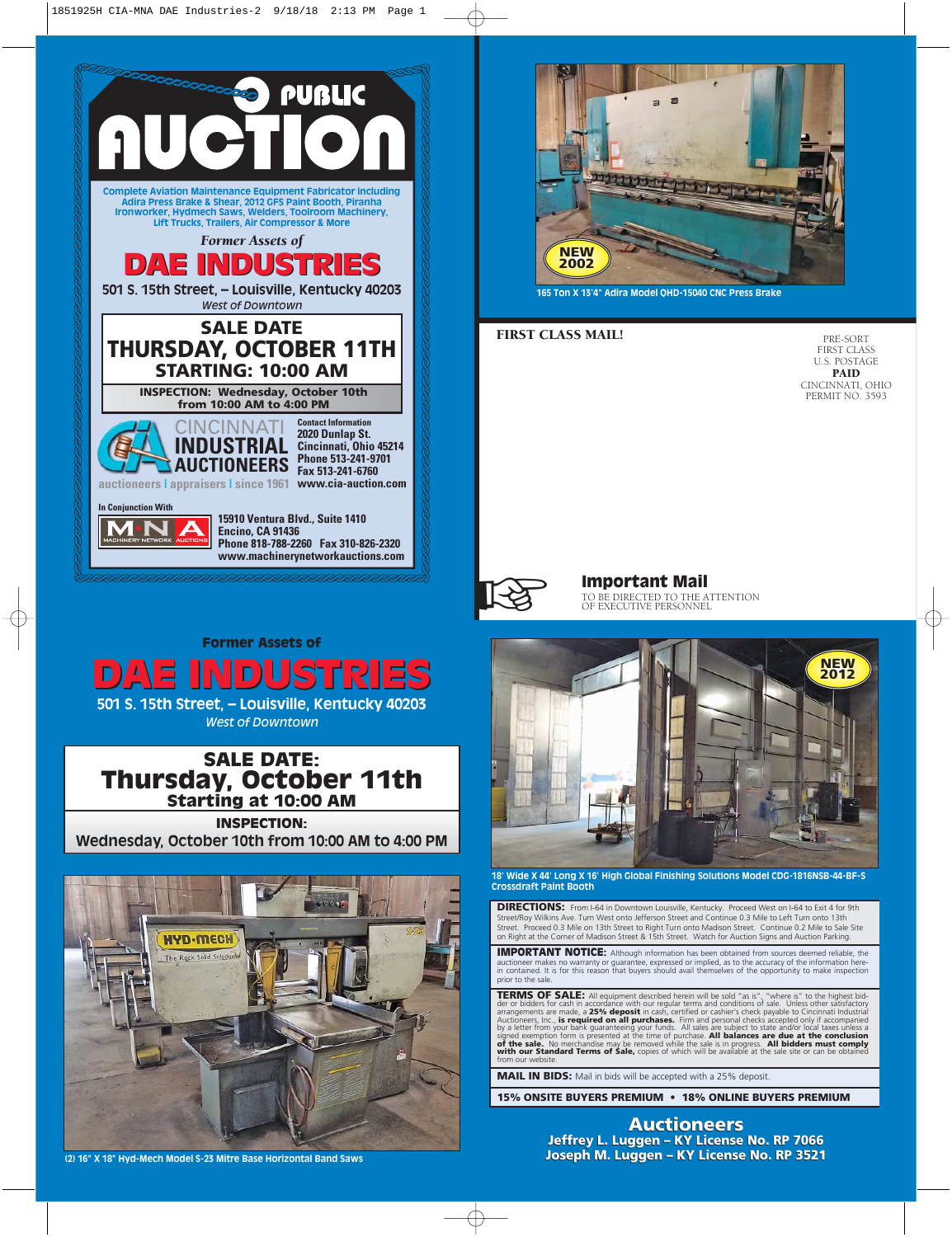



**165 Ton X 13'4" Adira Model QHD-15040 CNC Press Brake**

### FIRST CLASS MAIL!

PRE-SORT FIRST CLASS U.S. POSTAGE PAID CINCINNATI, OHIO PERMIT NO. 3593



**Important Mail**<br>TO BE DIRECTED TO THE ATTENTION **TO BE DIRECTED TO THE ATTENTION OF EXECUTIVE PERSONNEL** 

Former Assets of

DAE INDUSTRIES DAE INDUSTRIES **501 S. 15th Street, – Louisville, Kentucky 40203** *West of Downtown*



**Wednesday, October 10th from 10:00 AM to 4:00 PM**



**(2) 16" X 18" Hyd-Mech Model S-23 Mitre Base Horizontal Band Saws**



**18' Wide X 44' Long X 16' High Global Finishing Solutions Model CDG-1816NSB-44-BF-S Crossdraft Paint Booth**

**DIRECTIONS:** From I-64 in Downtown Louisville, Kentucky. Proceed West on I-64 to Exit 4 for 9th Street/Roy Wilkins Ave. Turn West onto Jefferson Street and Continue 0.3 Mile to Left Turn onto 13th Street. Proceed 0.3 Mile on 13th Street to Right Turn onto Madison Street. Continue 0.2 Mile to Sale Site on Right at the Corner of Madison Street & 15th Street. Watch for Auction Signs and Auction Parking.

IMPORTANT NOTICE: Although information has been obtained from sources deemed reliable, the auctioneer makes no warranty or guarantee, expressed or implied, as to the accuracy of the information here-in contained. It is for this reason that buyers should avail themselves of the opportunity to make inspection prior to the sale.

**TERMS OF SALE:** All equipment described herein will be sold "as is", "where is" to the highest bid-<br>der or bidders for cash in accordance with our regular terms and conditions of sale. Unless other satisfactory<br>arrangemen

**MAIL IN BIDS:** Mail in bids will be accepted with a 25% deposit.

**15% ONSITE BUYERS PREMIUM • 18% ONLINE BUYERS PREMIUM**

**Auctioneers Jeffrey L. Luggen – KY License No. RP 7066 Joseph M. Luggen – KY License No. RP 3521**